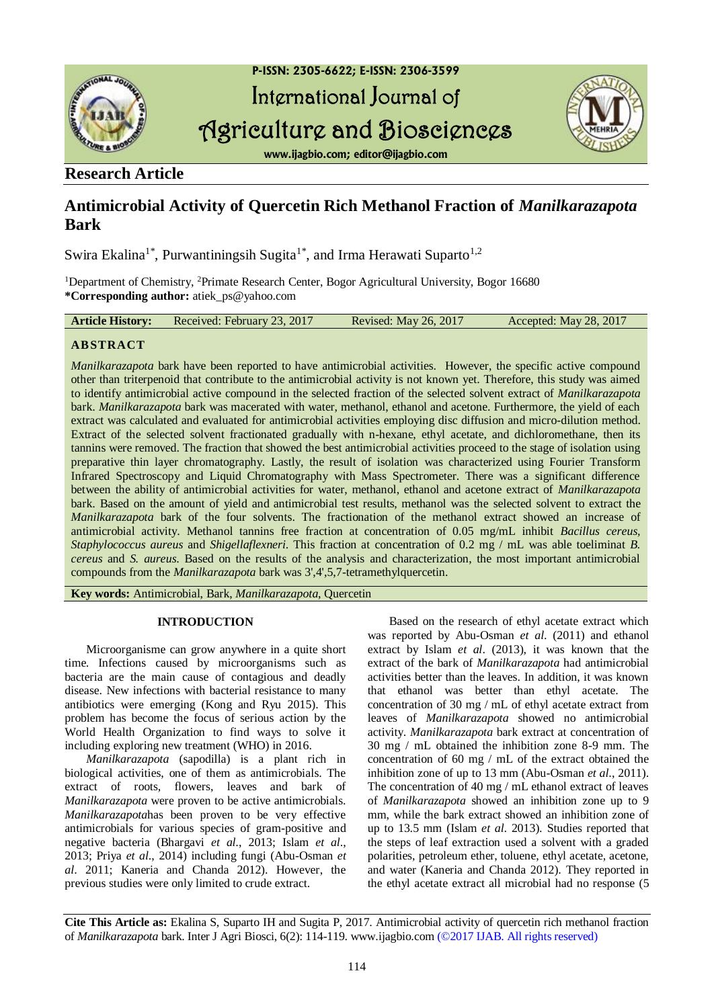

## **Research Article**

# **Antimicrobial Activity of Quercetin Rich Methanol Fraction of** *Manilkarazapota* **Bark**

Swira Ekalina<sup>1\*</sup>, Purwantiningsih Sugita<sup>1\*</sup>, and Irma Herawati Suparto<sup>1,2</sup>

<sup>1</sup>Department of Chemistry, <sup>2</sup>Primate Research Center, Bogor Agricultural University, Bogor 16680 **\*Corresponding author:** atiek\_ps@yahoo.com

| <b>Article History:</b> | Received: February 23, 2017 |  | <b>Revised: May 26, 2017</b> | Accepted: May 28, 2017 |  |
|-------------------------|-----------------------------|--|------------------------------|------------------------|--|
|-------------------------|-----------------------------|--|------------------------------|------------------------|--|

## **ABSTRACT**

*Manilkarazapota* bark have been reported to have antimicrobial activities. However, the specific active compound other than triterpenoid that contribute to the antimicrobial activity is not known yet. Therefore, this study was aimed to identify antimicrobial active compound in the selected fraction of the selected solvent extract of *Manilkarazapota* bark. *Manilkarazapota* bark was macerated with water, methanol, ethanol and acetone. Furthermore, the yield of each extract was calculated and evaluated for antimicrobial activities employing disc diffusion and micro-dilution method. Extract of the selected solvent fractionated gradually with n-hexane, ethyl acetate, and dichloromethane, then its tannins were removed. The fraction that showed the best antimicrobial activities proceed to the stage of isolation using preparative thin layer chromatography. Lastly, the result of isolation was characterized using Fourier Transform Infrared Spectroscopy and Liquid Chromatography with Mass Spectrometer. There was a significant difference between the ability of antimicrobial activities for water, methanol, ethanol and acetone extract of *Manilkarazapota* bark. Based on the amount of yield and antimicrobial test results, methanol was the selected solvent to extract the *Manilkarazapota* bark of the four solvents. The fractionation of the methanol extract showed an increase of antimicrobial activity. Methanol tannins free fraction at concentration of 0.05 mg/mL inhibit *Bacillus cereus, Staphylococcus aureus* and *Shigellaflexneri*. This fraction at concentration of 0.2 mg / mL was able toeliminat *B. cereus* and *S. aureus*. Based on the results of the analysis and characterization, the most important antimicrobial compounds from the *Manilkarazapota* bark was 3',4',5,7-tetramethylquercetin.

**Key words:** Antimicrobial, Bark, *Manilkarazapota*, Quercetin

### **INTRODUCTION**

Microorganisme can grow anywhere in a quite short time. Infections caused by microorganisms such as bacteria are the main cause of contagious and deadly disease. New infections with bacterial resistance to many antibiotics were emerging (Kong and Ryu 2015). This problem has become the focus of serious action by the World Health Organization to find ways to solve it including exploring new treatment (WHO) in 2016.

*Manilkarazapota* (sapodilla) is a plant rich in biological activities, one of them as antimicrobials. The extract of roots, flowers, leaves and bark of *Manilkarazapota* were proven to be active antimicrobials. *Manilkarazapota*has been proven to be very effective antimicrobials for various species of gram-positive and negative bacteria (Bhargavi *et al*., 2013; Islam *et al*., 2013; Priya *et al*., 2014) including fungi (Abu-Osman *et al*. 2011; Kaneria and Chanda 2012). However, the previous studies were only limited to crude extract.

Based on the research of ethyl acetate extract which was reported by Abu-Osman *et al*. (2011) and ethanol extract by Islam *et al*. (2013), it was known that the extract of the bark of *Manilkarazapota* had antimicrobial activities better than the leaves. In addition, it was known that ethanol was better than ethyl acetate. The concentration of 30 mg / mL of ethyl acetate extract from leaves of *Manilkarazapota* showed no antimicrobial activity. *Manilkarazapota* bark extract at concentration of 30 mg / mL obtained the inhibition zone 8-9 mm. The concentration of 60 mg / mL of the extract obtained the inhibition zone of up to 13 mm (Abu-Osman *et al*., 2011). The concentration of 40 mg / mL ethanol extract of leaves of *Manilkarazapota* showed an inhibition zone up to 9 mm, while the bark extract showed an inhibition zone of up to 13.5 mm (Islam *et al*. 2013). Studies reported that the steps of leaf extraction used a solvent with a graded polarities, petroleum ether, toluene, ethyl acetate, acetone, and water (Kaneria and Chanda 2012). They reported in the ethyl acetate extract all microbial had no response (5

**Cite This Article as:** Ekalina S, Suparto IH and Sugita P, 2017. Antimicrobial activity of quercetin rich methanol fraction of *Manilkarazapota* bark. Inter J Agri Biosci, 6(2): 114-119. www.ijagbio.com (©2017 IJAB. All rights reserved)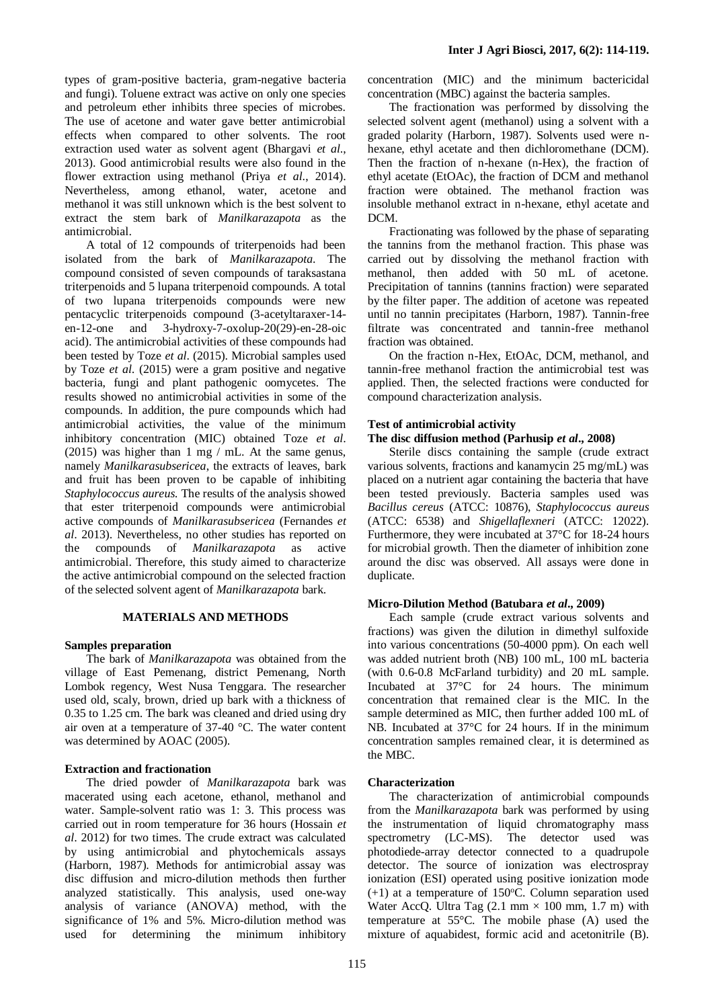types of gram-positive bacteria, gram-negative bacteria and fungi). Toluene extract was active on only one species and petroleum ether inhibits three species of microbes. The use of acetone and water gave better antimicrobial effects when compared to other solvents. The root extraction used water as solvent agent (Bhargavi *et al*., 2013). Good antimicrobial results were also found in the flower extraction using methanol (Priya *et al*., 2014). Nevertheless, among ethanol, water, acetone and methanol it was still unknown which is the best solvent to extract the stem bark of *Manilkarazapota* as the antimicrobial.

A total of 12 compounds of triterpenoids had been isolated from the bark of *Manilkarazapota*. The compound consisted of seven compounds of taraksastana triterpenoids and 5 lupana triterpenoid compounds. A total of two lupana triterpenoids compounds were new pentacyclic triterpenoids compound (3-acetyltaraxer-14 en-12-one and 3-hydroxy-7-oxolup-20(29)-en-28-oic acid). The antimicrobial activities of these compounds had been tested by Toze *et al*. (2015). Microbial samples used by Toze *et al*. (2015) were a gram positive and negative bacteria, fungi and plant pathogenic oomycetes. The results showed no antimicrobial activities in some of the compounds. In addition, the pure compounds which had antimicrobial activities, the value of the minimum inhibitory concentration (MIC) obtained Toze *et al*. (2015) was higher than 1 mg / mL. At the same genus, namely *Manilkarasubsericea*, the extracts of leaves, bark and fruit has been proven to be capable of inhibiting *Staphylococcus aureus.* The results of the analysis showed that ester triterpenoid compounds were antimicrobial active compounds of *Manilkarasubsericea* (Fernandes *et al*. 2013). Nevertheless, no other studies has reported on the compounds of *Manilkarazapota* as active antimicrobial. Therefore, this study aimed to characterize the active antimicrobial compound on the selected fraction of the selected solvent agent of *Manilkarazapota* bark.

#### **MATERIALS AND METHODS**

#### **Samples preparation**

The bark of *Manilkarazapota* was obtained from the village of East Pemenang, district Pemenang, North Lombok regency, West Nusa Tenggara. The researcher used old, scaly, brown, dried up bark with a thickness of 0.35 to 1.25 cm. The bark was cleaned and dried using dry air oven at a temperature of 37-40 °C. The water content was determined by AOAC (2005).

#### **Extraction and fractionation**

The dried powder of *Manilkarazapota* bark was macerated using each acetone, ethanol, methanol and water. Sample-solvent ratio was 1: 3. This process was carried out in room temperature for 36 hours (Hossain *et al*. 2012) for two times. The crude extract was calculated by using antimicrobial and phytochemicals assays (Harborn, 1987). Methods for antimicrobial assay was disc diffusion and micro-dilution methods then further analyzed statistically. This analysis, used one-way analysis of variance (ANOVA) method, with the significance of 1% and 5%. Micro-dilution method was used for determining the minimum inhibitory

concentration (MIC) and the minimum bactericidal concentration (MBC) against the bacteria samples.

The fractionation was performed by dissolving the selected solvent agent (methanol) using a solvent with a graded polarity (Harborn, 1987). Solvents used were nhexane, ethyl acetate and then dichloromethane (DCM). Then the fraction of n-hexane (n-Hex), the fraction of ethyl acetate (EtOAc), the fraction of DCM and methanol fraction were obtained. The methanol fraction was insoluble methanol extract in n-hexane, ethyl acetate and DCM.

Fractionating was followed by the phase of separating the tannins from the methanol fraction. This phase was carried out by dissolving the methanol fraction with methanol, then added with 50 mL of acetone. Precipitation of tannins (tannins fraction) were separated by the filter paper. The addition of acetone was repeated until no tannin precipitates (Harborn, 1987). Tannin-free filtrate was concentrated and tannin-free methanol fraction was obtained.

On the fraction n-Hex, EtOAc, DCM, methanol, and tannin-free methanol fraction the antimicrobial test was applied. Then, the selected fractions were conducted for compound characterization analysis.

#### **Test of antimicrobial activity**

#### **The disc diffusion method (Parhusip** *et al***., 2008)**

Sterile discs containing the sample (crude extract various solvents, fractions and kanamycin 25 mg/mL) was placed on a nutrient agar containing the bacteria that have been tested previously. Bacteria samples used was *Bacillus cereus* (ATCC: 10876), *Staphylococcus aureus*  (ATCC: 6538) and *Shigellaflexneri* (ATCC: 12022). Furthermore, they were incubated at 37°C for 18-24 hours for microbial growth. Then the diameter of inhibition zone around the disc was observed. All assays were done in duplicate.

#### **Micro-Dilution Method (Batubara** *et al***., 2009)**

Each sample (crude extract various solvents and fractions) was given the dilution in dimethyl sulfoxide into various concentrations (50-4000 ppm). On each well was added nutrient broth (NB) 100 mL, 100 mL bacteria (with 0.6-0.8 McFarland turbidity) and 20 mL sample. Incubated at 37°C for 24 hours. The minimum concentration that remained clear is the MIC. In the sample determined as MIC, then further added 100 mL of NB. Incubated at 37°C for 24 hours. If in the minimum concentration samples remained clear, it is determined as the MBC.

#### **Characterization**

The characterization of antimicrobial compounds from the *Manilkarazapota* bark was performed by using the instrumentation of liquid chromatography mass spectrometry (LC-MS). The detector used was photodiede-array detector connected to a quadrupole detector. The source of ionization was electrospray ionization (ESI) operated using positive ionization mode  $(+1)$  at a temperature of 150°C. Column separation used Water AccQ. Ultra Tag  $(2.1 \text{ mm} \times 100 \text{ mm}, 1.7 \text{ m})$  with temperature at 55°C. The mobile phase (A) used the mixture of aquabidest, formic acid and acetonitrile (B).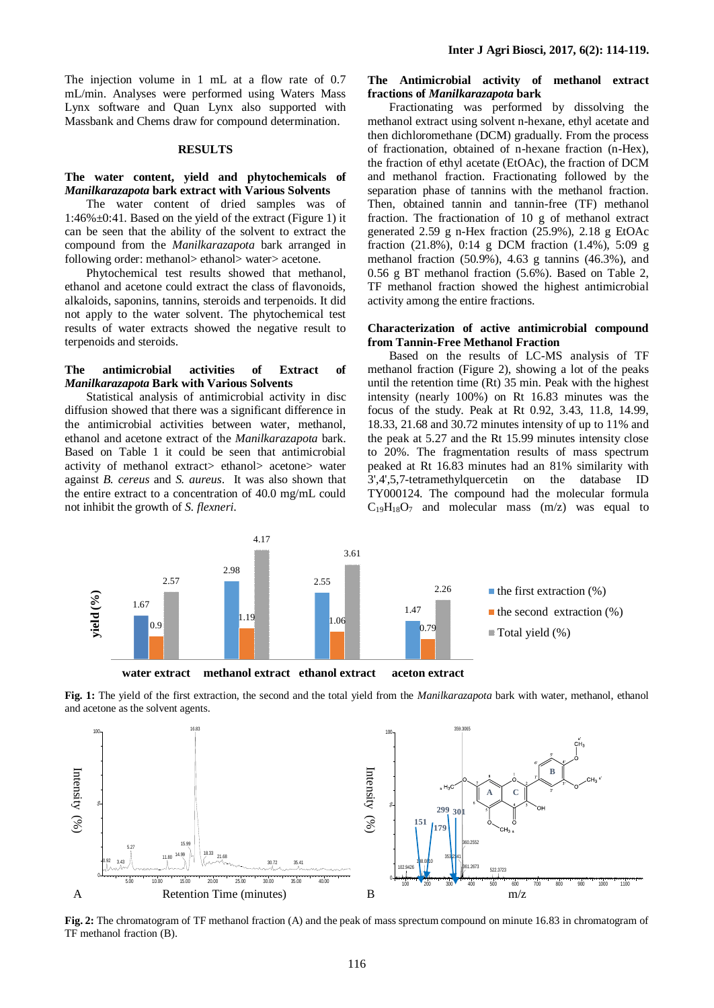The injection volume in 1 mL at a flow rate of 0.7 mL/min. Analyses were performed using Waters Mass Lynx software and Quan Lynx also supported with Massbank and Chems draw for compound determination.

#### **RESULTS**

#### **The water content, yield and phytochemicals of**  *Manilkarazapota* **bark extract with Various Solvents**

The water content of dried samples was of 1:46%±0:41. Based on the yield of the extract (Figure 1) it can be seen that the ability of the solvent to extract the compound from the *Manilkarazapota* bark arranged in following order: methanol> ethanol> water> acetone.

Phytochemical test results showed that methanol, ethanol and acetone could extract the class of flavonoids, alkaloids, saponins, tannins, steroids and terpenoids. It did not apply to the water solvent. The phytochemical test results of water extracts showed the negative result to terpenoids and steroids.

#### **The antimicrobial activities of Extract of**  *Manilkarazapota* **Bark with Various Solvents**

Statistical analysis of antimicrobial activity in disc diffusion showed that there was a significant difference in the antimicrobial activities between water, methanol, ethanol and acetone extract of the *Manilkarazapota* bark. Based on Table 1 it could be seen that antimicrobial activity of methanol extract> ethanol> acetone> water against *B. cereus* and *S. aureus*. It was also shown that the entire extract to a concentration of 40.0 mg/mL could not inhibit the growth of *S. flexneri*.

#### **The Antimicrobial activity of methanol extract fractions of** *Manilkarazapota* **bark**

Fractionating was performed by dissolving the methanol extract using solvent n-hexane, ethyl acetate and then dichloromethane (DCM) gradually. From the process of fractionation, obtained of n-hexane fraction (n-Hex), the fraction of ethyl acetate (EtOAc), the fraction of DCM and methanol fraction. Fractionating followed by the separation phase of tannins with the methanol fraction. Then, obtained tannin and tannin-free (TF) methanol fraction. The fractionation of 10 g of methanol extract generated 2.59 g n-Hex fraction (25.9%), 2.18 g EtOAc fraction (21.8%), 0:14 g DCM fraction (1.4%), 5:09 g methanol fraction (50.9%), 4.63 g tannins (46.3%), and 0.56 g BT methanol fraction (5.6%). Based on Table 2, TF methanol fraction showed the highest antimicrobial activity among the entire fractions.

#### **Characterization of active antimicrobial compound from Tannin-Free Methanol Fraction**

Based on the results of LC-MS analysis of TF methanol fraction (Figure 2), showing a lot of the peaks until the retention time (Rt) 35 min. Peak with the highest intensity (nearly 100%) on Rt 16.83 minutes was the focus of the study. Peak at Rt 0.92, 3.43, 11.8, 14.99, 18.33, 21.68 and 30.72 minutes intensity of up to 11% and the peak at 5.27 and the Rt 15.99 minutes intensity close to 20%. The fragmentation results of mass spectrum peaked at Rt 16.83 minutes had an 81% similarity with 3',4',5,7-tetramethylquercetin on the database ID TY000124. The compound had the molecular formula  $C_{19}H_{18}O_7$  and molecular mass  $(m/z)$  was equal to



**Fig. 1:** The yield of the first extraction, the second and the total yield from the *Manilkarazapota* bark with water, methanol, ethanol and acetone as the solvent agents.



**Fig. 2:** The chromatogram of TF methanol fraction (A) and the peak of mass sprectum compound on minute 16.83 in chromatogram of TF methanol fraction (B).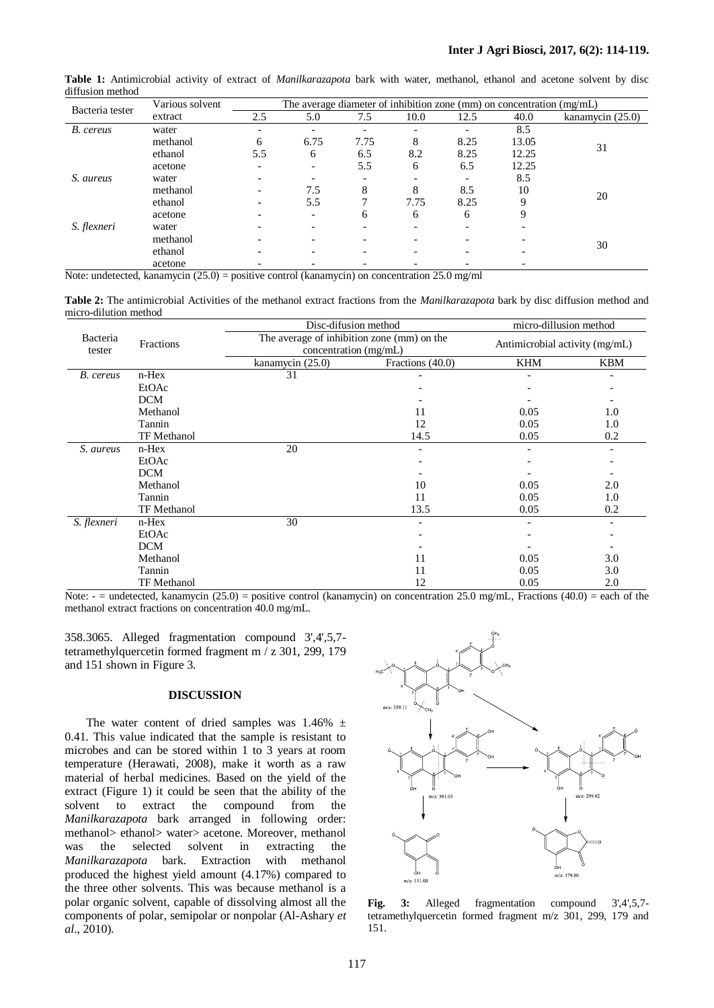|                 | Various solvent | The average diameter of inhibition zone (mm) on concentration $(mg/mL)$ |      |                          |      |                          |       |                  |
|-----------------|-----------------|-------------------------------------------------------------------------|------|--------------------------|------|--------------------------|-------|------------------|
| Bacteria tester | extract         | 2.5                                                                     | 5.0  | 7.5                      | 10.0 | 12.5                     | 40.0  | kanamycin (25.0) |
| B. cereus       | water           |                                                                         |      |                          |      |                          | 8.5   |                  |
|                 | methanol        | 6                                                                       | 6.75 | 7.75                     | 8    | 8.25                     | 13.05 | 31               |
|                 | ethanol         | 5.5                                                                     | 6    | 6.5                      | 8.2  | 8.25                     | 12.25 |                  |
|                 | acetone         |                                                                         |      | 5.5                      | 6    | 6.5                      | 12.25 |                  |
| S. aureus       | water           |                                                                         |      | $\overline{\phantom{0}}$ |      | $\overline{\phantom{a}}$ | 8.5   |                  |
|                 | methanol        |                                                                         | 7.5  | 8                        | 8    | 8.5                      | 10    | 20               |
|                 | ethanol         |                                                                         | 5.5  |                          | 7.75 | 8.25                     | 9     |                  |
|                 | acetone         |                                                                         |      | 6                        | 6    | 6                        | 9     |                  |
| S. flexneri     | water           |                                                                         |      |                          |      | $\qquad \qquad$          |       |                  |
|                 | methanol        |                                                                         |      |                          |      |                          |       |                  |
|                 | ethanol         |                                                                         |      |                          |      |                          |       | 30               |
|                 | acetone         |                                                                         |      |                          |      |                          |       |                  |

**Table 1:** Antimicrobial activity of extract of *Manilkarazapota* bark with water, methanol, ethanol and acetone solvent by disc diffusion method

Note: undetected, kanamycin (25.0) = positive control (kanamycin) on concentration 25.0 mg/ml

**Table 2:** The antimicrobial Activities of the methanol extract fractions from the *Manilkarazapota* bark by disc diffusion method and micro-dilution method

|                    | Fractions          | Disc-difusion method | micro-dillusion method                                              |            |                          |
|--------------------|--------------------|----------------------|---------------------------------------------------------------------|------------|--------------------------|
| Bacteria<br>tester |                    |                      | The average of inhibition zone (mm) on the<br>concentration (mg/mL) |            |                          |
|                    |                    | kanamycin (25.0)     | Fractions (40.0)                                                    | <b>KHM</b> | <b>KBM</b>               |
| B. cereus          | $n$ -Hex           | 31                   |                                                                     |            |                          |
|                    | EtOAc              |                      |                                                                     |            |                          |
|                    | <b>DCM</b>         |                      |                                                                     |            |                          |
|                    | Methanol           |                      | 11                                                                  | 0.05       | 1.0                      |
|                    | Tannin             |                      | 12                                                                  | 0.05       | 1.0                      |
|                    | <b>TF</b> Methanol |                      | 14.5                                                                | 0.05       | 0.2                      |
| S. aureus          | $n$ -Hex           | 20                   | $\overline{\phantom{0}}$                                            |            | $\overline{\phantom{a}}$ |
|                    | EtOAc              |                      |                                                                     |            |                          |
|                    | <b>DCM</b>         |                      |                                                                     |            |                          |
|                    | Methanol           |                      | 10                                                                  | 0.05       | 2.0                      |
|                    | Tannin             |                      | 11                                                                  | 0.05       | 1.0                      |
|                    | TF Methanol        |                      | 13.5                                                                | 0.05       | 0.2                      |
| S. flexneri        | $n$ -Hex           | 30                   |                                                                     |            | $\overline{\phantom{a}}$ |
|                    | EtOAc              |                      |                                                                     |            |                          |
|                    | <b>DCM</b>         |                      |                                                                     |            |                          |
|                    | Methanol           |                      | 11                                                                  | 0.05       | 3.0                      |
|                    | Tannin             |                      | 11                                                                  | 0.05       | 3.0                      |
|                    | TF Methanol        |                      | 12                                                                  | 0.05       | 2.0                      |

Note:  $=$  undetected, kanamycin (25.0) = positive control (kanamycin) on concentration 25.0 mg/mL, Fractions (40.0) = each of the methanol extract fractions on concentration 40.0 mg/mL.

358.3065. Alleged fragmentation compound 3',4',5,7 tetramethylquercetin formed fragment m / z 301, 299, 179 and 151 shown in Figure 3.

#### **DISCUSSION**

The water content of dried samples was  $1.46\%$   $\pm$ 0.41. This value indicated that the sample is resistant to microbes and can be stored within 1 to 3 years at room temperature (Herawati, 2008), make it worth as a raw material of herbal medicines. Based on the yield of the extract (Figure 1) it could be seen that the ability of the solvent to extract the compound from the *Manilkarazapota* bark arranged in following order: methanol> ethanol> water> acetone. Moreover, methanol was the selected solvent in extracting the *Manilkarazapota* bark. Extraction with methanol produced the highest yield amount (4.17%) compared to the three other solvents. This was because methanol is a polar organic solvent, capable of dissolving almost all the components of polar, semipolar or nonpolar (Al-Ashary *et al*., 2010).



**Fig. 3:** Alleged fragmentation compound 3',4',5,7 tetramethylquercetin formed fragment m/z 301, 299, 179 and 151.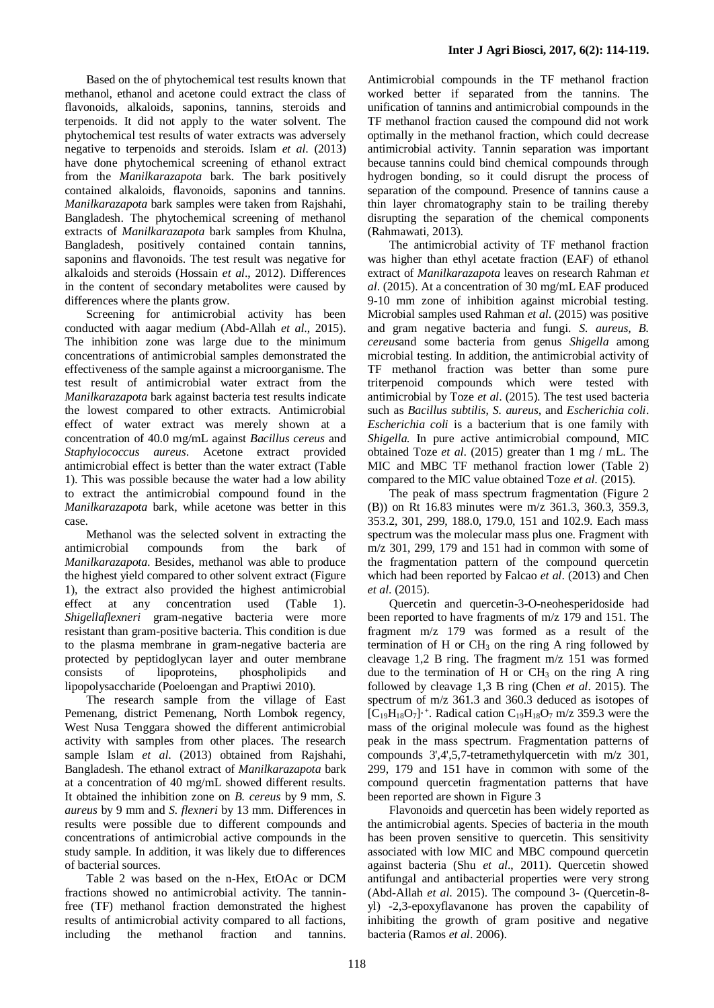Based on the of phytochemical test results known that methanol, ethanol and acetone could extract the class of flavonoids, alkaloids, saponins, tannins, steroids and terpenoids. It did not apply to the water solvent. The phytochemical test results of water extracts was adversely negative to terpenoids and steroids. Islam *et al*. (2013) have done phytochemical screening of ethanol extract from the *Manilkarazapota* bark. The bark positively contained alkaloids, flavonoids, saponins and tannins. *Manilkarazapota* bark samples were taken from Rajshahi, Bangladesh. The phytochemical screening of methanol extracts of *Manilkarazapota* bark samples from Khulna, Bangladesh, positively contained contain tannins, saponins and flavonoids. The test result was negative for alkaloids and steroids (Hossain *et al*., 2012). Differences in the content of secondary metabolites were caused by differences where the plants grow.

Screening for antimicrobial activity has been conducted with aagar medium (Abd-Allah *et al*., 2015). The inhibition zone was large due to the minimum concentrations of antimicrobial samples demonstrated the effectiveness of the sample against a microorganisme. The test result of antimicrobial water extract from the *Manilkarazapota* bark against bacteria test results indicate the lowest compared to other extracts. Antimicrobial effect of water extract was merely shown at a concentration of 40.0 mg/mL against *Bacillus cereus* and *Staphylococcus aureus*. Acetone extract provided antimicrobial effect is better than the water extract (Table 1). This was possible because the water had a low ability to extract the antimicrobial compound found in the *Manilkarazapota* bark, while acetone was better in this case.

Methanol was the selected solvent in extracting the antimicrobial compounds from the bark of *Manilkarazapota*. Besides, methanol was able to produce the highest yield compared to other solvent extract (Figure 1), the extract also provided the highest antimicrobial effect at any concentration used (Table 1). *Shigellaflexneri* gram-negative bacteria were more resistant than gram-positive bacteria. This condition is due to the plasma membrane in gram-negative bacteria are protected by peptidoglycan layer and outer membrane consists of lipoproteins, phospholipids and lipopolysaccharide (Poeloengan and Praptiwi 2010).

The research sample from the village of East Pemenang, district Pemenang, North Lombok regency, West Nusa Tenggara showed the different antimicrobial activity with samples from other places. The research sample Islam *et al*. (2013) obtained from Rajshahi, Bangladesh. The ethanol extract of *Manilkarazapota* bark at a concentration of 40 mg/mL showed different results. It obtained the inhibition zone on *B. cereus* by 9 mm, *S. aureus* by 9 mm and *S. flexneri* by 13 mm. Differences in results were possible due to different compounds and concentrations of antimicrobial active compounds in the study sample. In addition, it was likely due to differences of bacterial sources.

Table 2 was based on the n-Hex, EtOAc or DCM fractions showed no antimicrobial activity. The tanninfree (TF) methanol fraction demonstrated the highest results of antimicrobial activity compared to all factions, including the methanol fraction and tannins.

Antimicrobial compounds in the TF methanol fraction worked better if separated from the tannins. The unification of tannins and antimicrobial compounds in the TF methanol fraction caused the compound did not work optimally in the methanol fraction, which could decrease antimicrobial activity. Tannin separation was important because tannins could bind chemical compounds through hydrogen bonding, so it could disrupt the process of separation of the compound. Presence of tannins cause a thin layer chromatography stain to be trailing thereby disrupting the separation of the chemical components (Rahmawati, 2013).

The antimicrobial activity of TF methanol fraction was higher than ethyl acetate fraction (EAF) of ethanol extract of *Manilkarazapota* leaves on research Rahman *et al*. (2015). At a concentration of 30 mg/mL EAF produced 9-10 mm zone of inhibition against microbial testing. Microbial samples used Rahman *et al*. (2015) was positive and gram negative bacteria and fungi. *S. aureus, B. cereus*and some bacteria from genus *Shigella* among microbial testing. In addition, the antimicrobial activity of TF methanol fraction was better than some pure triterpenoid compounds which were tested with antimicrobial by Toze *et al*. (2015). The test used bacteria such as *Bacillus subtilis*, *S. aureus*, and *Escherichia coli*. *Escherichia coli* is a bacterium that is one family with *Shigella.* In pure active antimicrobial compound, MIC obtained Toze *et al*. (2015) greater than 1 mg / mL. The MIC and MBC TF methanol fraction lower (Table 2) compared to the MIC value obtained Toze *et al*. (2015).

The peak of mass spectrum fragmentation (Figure 2 (B)) on Rt 16.83 minutes were m/z 361.3, 360.3, 359.3, 353.2, 301, 299, 188.0, 179.0, 151 and 102.9. Each mass spectrum was the molecular mass plus one. Fragment with m/z 301, 299, 179 and 151 had in common with some of the fragmentation pattern of the compound quercetin which had been reported by Falcao *et al*. (2013) and Chen *et al*. (2015).

Quercetin and quercetin-3-O-neohesperidoside had been reported to have fragments of m/z 179 and 151. The fragment m/z 179 was formed as a result of the termination of H or  $CH_3$  on the ring A ring followed by cleavage 1,2 B ring. The fragment m/z 151 was formed due to the termination of H or  $CH_3$  on the ring A ring followed by cleavage 1,3 B ring (Chen *et al*. 2015). The spectrum of m/z 361.3 and 360.3 deduced as isotopes of  $[C_{19}H_{18}O_7]$ <sup>+</sup>. Radical cation  $C_{19}H_{18}O_7$  m/z 359.3 were the mass of the original molecule was found as the highest peak in the mass spectrum. Fragmentation patterns of compounds 3',4',5,7-tetramethylquercetin with m/z 301, 299, 179 and 151 have in common with some of the compound quercetin fragmentation patterns that have been reported are shown in Figure 3

Flavonoids and quercetin has been widely reported as the antimicrobial agents. Species of bacteria in the mouth has been proven sensitive to quercetin. This sensitivity associated with low MIC and MBC compound quercetin against bacteria (Shu *et al*., 2011). Quercetin showed antifungal and antibacterial properties were very strong (Abd-Allah *et al*. 2015). The compound 3- (Quercetin-8 yl) -2,3-epoxyflavanone has proven the capability of inhibiting the growth of gram positive and negative bacteria (Ramos *et al*. 2006).